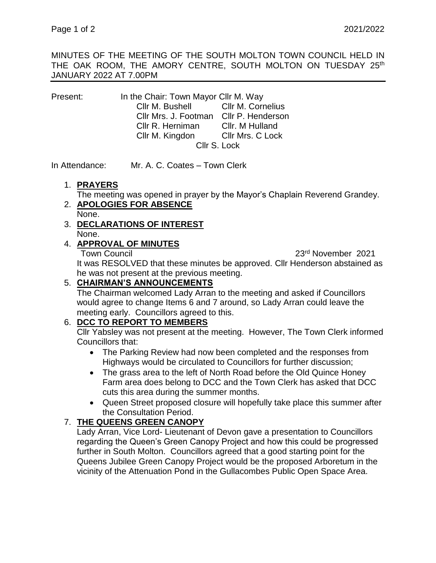MINUTES OF THE MEETING OF THE SOUTH MOLTON TOWN COUNCIL HELD IN THE OAK ROOM, THE AMORY CENTRE, SOUTH MOLTON ON TUESDAY 25<sup>th</sup> JANUARY 2022 AT 7.00PM

Present: In the Chair: Town Mayor Cllr M. Way Cllr M. Bushell Cllr M. Cornelius Cllr Mrs. J. Footman Cllr P. Henderson Cllr R. Herniman Cllr. M Hulland Cllr M. Kingdon Cllr Mrs. C Lock Cllr S. Lock

In Attendance: Mr. A. C. Coates – Town Clerk

#### 1. **PRAYERS**

The meeting was opened in prayer by the Mayor's Chaplain Reverend Grandey.

- 2. **APOLOGIES FOR ABSENCE** None.
- 3. **DECLARATIONS OF INTEREST** None.

### 4. **APPROVAL OF MINUTES**

Town Council 23rd November 2021

It was RESOLVED that these minutes be approved. Cllr Henderson abstained as he was not present at the previous meeting.

# 5. **CHAIRMAN'S ANNOUNCEMENTS**

The Chairman welcomed Lady Arran to the meeting and asked if Councillors would agree to change Items 6 and 7 around, so Lady Arran could leave the meeting early. Councillors agreed to this.

## 6. **DCC TO REPORT TO MEMBERS**

Cllr Yabsley was not present at the meeting. However, The Town Clerk informed Councillors that:

- The Parking Review had now been completed and the responses from Highways would be circulated to Councillors for further discussion;
- The grass area to the left of North Road before the Old Quince Honey Farm area does belong to DCC and the Town Clerk has asked that DCC cuts this area during the summer months.
- Queen Street proposed closure will hopefully take place this summer after the Consultation Period.

## 7. **THE QUEENS GREEN CANOPY**

Lady Arran, Vice Lord- Lieutenant of Devon gave a presentation to Councillors regarding the Queen's Green Canopy Project and how this could be progressed further in South Molton. Councillors agreed that a good starting point for the Queens Jubilee Green Canopy Project would be the proposed Arboretum in the vicinity of the Attenuation Pond in the Gullacombes Public Open Space Area.